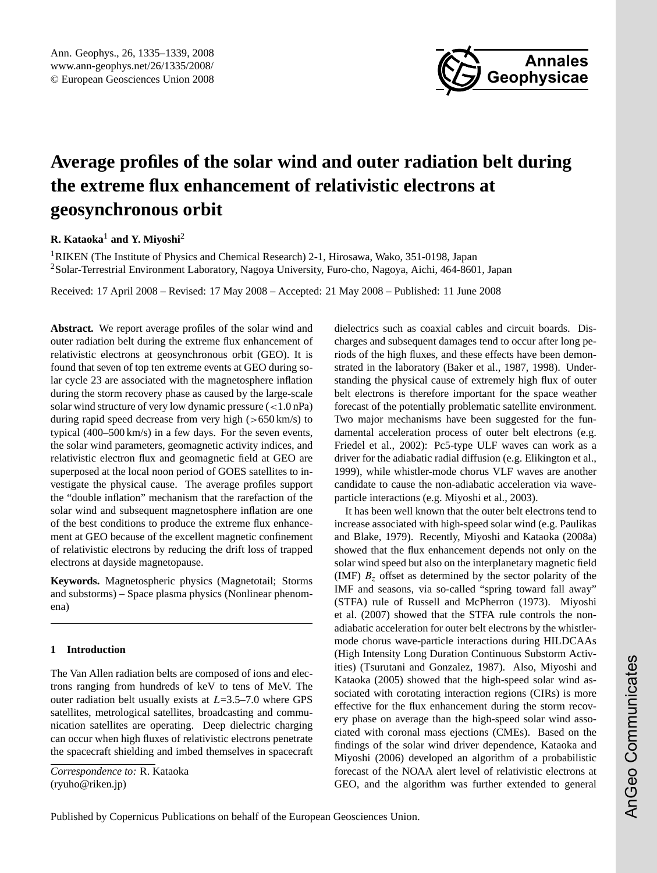

# <span id="page-0-0"></span>**Average profiles of the solar wind and outer radiation belt during the extreme flux enhancement of relativistic electrons at geosynchronous orbit**

## **R. Kataoka**<sup>1</sup> **and Y. Miyoshi**<sup>2</sup>

<sup>1</sup>RIKEN (The Institute of Physics and Chemical Research) 2-1, Hirosawa, Wako, 351-0198, Japan <sup>2</sup>Solar-Terrestrial Environment Laboratory, Nagoya University, Furo-cho, Nagoya, Aichi, 464-8601, Japan

Received: 17 April 2008 – Revised: 17 May 2008 – Accepted: 21 May 2008 – Published: 11 June 2008

**Abstract.** We report average profiles of the solar wind and outer radiation belt during the extreme flux enhancement of relativistic electrons at geosynchronous orbit (GEO). It is found that seven of top ten extreme events at GEO during solar cycle 23 are associated with the magnetosphere inflation during the storm recovery phase as caused by the large-scale solar wind structure of very low dynamic pressure  $\left($  < 1.0 nPa) during rapid speed decrease from very high  $(>650 \text{ km/s})$  to typical (400–500 km/s) in a few days. For the seven events, the solar wind parameters, geomagnetic activity indices, and relativistic electron flux and geomagnetic field at GEO are superposed at the local noon period of GOES satellites to investigate the physical cause. The average profiles support the "double inflation" mechanism that the rarefaction of the solar wind and subsequent magnetosphere inflation are one of the best conditions to produce the extreme flux enhancement at GEO because of the excellent magnetic confinement of relativistic electrons by reducing the drift loss of trapped electrons at dayside magnetopause.

**Keywords.** Magnetospheric physics (Magnetotail; Storms and substorms) – Space plasma physics (Nonlinear phenomena)

## **1 Introduction**

The Van Allen radiation belts are composed of ions and electrons ranging from hundreds of keV to tens of MeV. The outer radiation belt usually exists at  $L=3.5-7.0$  where GPS satellites, metrological satellites, broadcasting and communication satellites are operating. Deep dielectric charging can occur when high fluxes of relativistic electrons penetrate the spacecraft shielding and imbed themselves in spacecraft

*Correspondence to:* R. Kataoka (ryuho@riken.jp)

dielectrics such as coaxial cables and circuit boards. Discharges and subsequent damages tend to occur after long periods of the high fluxes, and these effects have been demonstrated in the laboratory (Baker et al., 1987, 1998). Understanding the physical cause of extremely high flux of outer belt electrons is therefore important for the space weather forecast of the potentially problematic satellite environment. Two major mechanisms have been suggested for the fundamental acceleration process of outer belt electrons (e.g. Friedel et al., 2002): Pc5-type ULF waves can work as a driver for the adiabatic radial diffusion (e.g. Elikington et al., 1999), while whistler-mode chorus VLF waves are another candidate to cause the non-adiabatic acceleration via waveparticle interactions (e.g. Miyoshi et al., 2003).

It has been well known that the outer belt electrons tend to increase associated with high-speed solar wind (e.g. Paulikas and Blake, 1979). Recently, Miyoshi and Kataoka (2008a) showed that the flux enhancement depends not only on the solar wind speed but also on the interplanetary magnetic field (IMF)  $B<sub>z</sub>$  offset as determined by the sector polarity of the IMF and seasons, via so-called "spring toward fall away" (STFA) rule of Russell and McPherron (1973). Miyoshi et al. (2007) showed that the STFA rule controls the nonadiabatic acceleration for outer belt electrons by the whistlermode chorus wave-particle interactions during HILDCAAs (High Intensity Long Duration Continuous Substorm Activities) (Tsurutani and Gonzalez, 1987). Also, Miyoshi and Kataoka (2005) showed that the high-speed solar wind associated with corotating interaction regions (CIRs) is more effective for the flux enhancement during the storm recovery phase on average than the high-speed solar wind associated with coronal mass ejections (CMEs). Based on the findings of the solar wind driver dependence, Kataoka and Miyoshi (2006) developed an algorithm of a probabilistic forecast of the NOAA alert level of relativistic electrons at GEO, and the algorithm was further extended to general

Published by Copernicus Publications on behalf of the European Geosciences Union.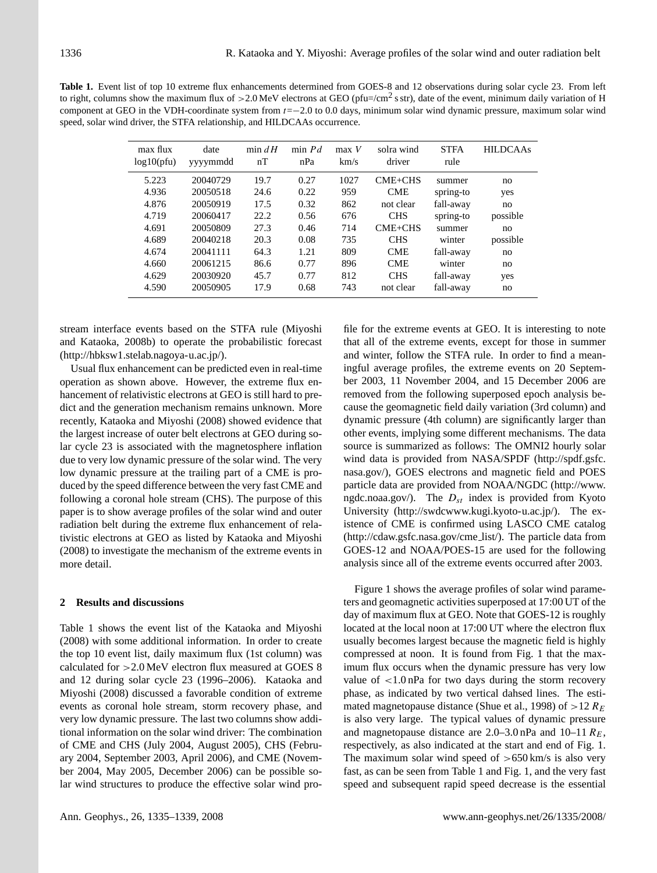**Table 1.** Event list of top 10 extreme flux enhancements determined from GOES-8 and 12 observations during solar cycle 23. From left to right, columns show the maximum flux of >2.0 MeV electrons at GEO (pfu=/cm<sup>2</sup> s str), date of the event, minimum daily variation of H component at GEO in the VDH-coordinate system from t=−2.0 to 0.0 days, minimum solar wind dynamic pressure, maximum solar wind speed, solar wind driver, the STFA relationship, and HILDCAAs occurrence.

| max flux<br>log10(ptu) | date<br>yyyymmdd | min $dH$<br>nT | $min$ <i>Pd</i><br>nPa | $max$ V<br>km/s | solra wind<br>driver | <b>STFA</b><br>rule | <b>HILDCAAs</b> |
|------------------------|------------------|----------------|------------------------|-----------------|----------------------|---------------------|-----------------|
| 5.223                  | 20040729         | 19.7           | 0.27                   | 1027            | $CME + CHS$          | summer              | no              |
| 4.936                  | 20050518         | 24.6           | 0.22                   | 959             | <b>CME</b>           | spring-to           | yes             |
| 4.876                  | 20050919         | 17.5           | 0.32                   | 862             | not clear            | fall-away           | no              |
| 4.719                  | 20060417         | 22.2           | 0.56                   | 676             | <b>CHS</b>           | spring-to           | possible        |
| 4.691                  | 20050809         | 27.3           | 0.46                   | 714             | $CME + CHS$          | summer              | no              |
| 4.689                  | 20040218         | 20.3           | 0.08                   | 735             | <b>CHS</b>           | winter              | possible        |
| 4.674                  | 20041111         | 64.3           | 1.21                   | 809             | <b>CME</b>           | fall-away           | no              |
| 4.660                  | 20061215         | 86.6           | 0.77                   | 896             | <b>CME</b>           | winter              | no              |
| 4.629                  | 20030920         | 45.7           | 0.77                   | 812             | <b>CHS</b>           | fall-away           | yes             |
| 4.590                  | 20050905         | 17.9           | 0.68                   | 743             | not clear            | fall-away           | no              |

stream interface events based on the STFA rule (Miyoshi and Kataoka, 2008b) to operate the probabilistic forecast [\(http://hbksw1.stelab.nagoya-u.ac.jp/\)](http://hbksw1.stelab.nagoya-u.ac.jp/).

Usual flux enhancement can be predicted even in real-time operation as shown above. However, the extreme flux enhancement of relativistic electrons at GEO is still hard to predict and the generation mechanism remains unknown. More recently, Kataoka and Miyoshi (2008) showed evidence that the largest increase of outer belt electrons at GEO during solar cycle 23 is associated with the magnetosphere inflation due to very low dynamic pressure of the solar wind. The very low dynamic pressure at the trailing part of a CME is produced by the speed difference between the very fast CME and following a coronal hole stream (CHS). The purpose of this paper is to show average profiles of the solar wind and outer radiation belt during the extreme flux enhancement of relativistic electrons at GEO as listed by Kataoka and Miyoshi (2008) to investigate the mechanism of the extreme events in more detail.

#### **2 Results and discussions**

Table 1 shows the event list of the Kataoka and Miyoshi (2008) with some additional information. In order to create the top 10 event list, daily maximum flux (1st column) was calculated for >2.0 MeV electron flux measured at GOES 8 and 12 during solar cycle 23 (1996–2006). Kataoka and Miyoshi (2008) discussed a favorable condition of extreme events as coronal hole stream, storm recovery phase, and very low dynamic pressure. The last two columns show additional information on the solar wind driver: The combination of CME and CHS (July 2004, August 2005), CHS (February 2004, September 2003, April 2006), and CME (November 2004, May 2005, December 2006) can be possible solar wind structures to produce the effective solar wind profile for the extreme events at GEO. It is interesting to note that all of the extreme events, except for those in summer and winter, follow the STFA rule. In order to find a meaningful average profiles, the extreme events on 20 September 2003, 11 November 2004, and 15 December 2006 are removed from the following superposed epoch analysis because the geomagnetic field daily variation (3rd column) and dynamic pressure (4th column) are significantly larger than other events, implying some different mechanisms. The data source is summarized as follows: The OMNI2 hourly solar wind data is provided from NASA/SPDF [\(http://spdf.gsfc.](http://spdf.gsfc.nasa.gov/) [nasa.gov/\)](http://spdf.gsfc.nasa.gov/), GOES electrons and magnetic field and POES particle data are provided from NOAA/NGDC [\(http://www.](http://www.ngdc.noaa.gov/) [ngdc.noaa.gov/\)](http://www.ngdc.noaa.gov/). The  $D_{st}$  index is provided from Kyoto University [\(http://swdcwww.kugi.kyoto-u.ac.jp/\)](http://swdcwww.kugi.kyoto-u.ac.jp/). The existence of CME is confirmed using LASCO CME catalog [\(http://cdaw.gsfc.nasa.gov/cme](http://cdaw.gsfc.nasa.gov/cme_list/) list/). The particle data from GOES-12 and NOAA/POES-15 are used for the following analysis since all of the extreme events occurred after 2003.

Figure 1 shows the average profiles of solar wind parameters and geomagnetic activities superposed at 17:00 UT of the day of maximum flux at GEO. Note that GOES-12 is roughly located at the local noon at 17:00 UT where the electron flux usually becomes largest because the magnetic field is highly compressed at noon. It is found from Fig. 1 that the maximum flux occurs when the dynamic pressure has very low value of  $\langle 1.0 \text{ nPa}$  for two days during the storm recovery phase, as indicated by two vertical dahsed lines. The estimated magnetopause distance (Shue et al., 1998) of  $>12 R_E$ is also very large. The typical values of dynamic pressure and magnetopause distance are 2.0–3.0 nPa and 10–11  $R_E$ , respectively, as also indicated at the start and end of Fig. 1. The maximum solar wind speed of  $>650$  km/s is also very fast, as can be seen from Table 1 and Fig. 1, and the very fast speed and subsequent rapid speed decrease is the essential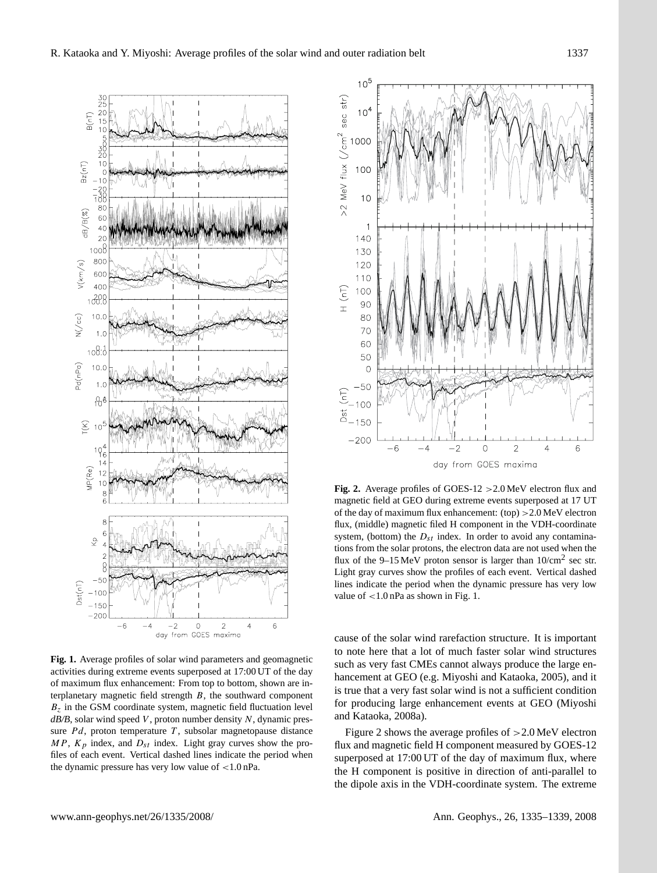

**Fig. 1.** Average profiles of solar wind parameters and geomagnetic activities during extreme events superposed at 17:00 UT of the day of maximum flux enhancement: From top to bottom, shown are interplanetary magnetic field strength  $B$ , the southward component  $B<sub>z</sub>$  in the GSM coordinate system, magnetic field fluctuation level  $dB/B$ , solar wind speed V, proton number density N, dynamic pressure  $Pd$ , proton temperature T, subsolar magnetopause distance  $MP$ ,  $K_p$  index, and  $D_{st}$  index. Light gray curves show the profiles of each event. Vertical dashed lines indicate the period when the dynamic pressure has very low value of <1.0 nPa.



**Fig. 2.** Average profiles of GOES-12 >2.0 MeV electron flux and magnetic field at GEO during extreme events superposed at 17 UT of the day of maximum flux enhancement: (top) >2.0 MeV electron flux, (middle) magnetic filed H component in the VDH-coordinate system, (bottom) the  $D_{st}$  index. In order to avoid any contaminations from the solar protons, the electron data are not used when the flux of the 9–15 MeV proton sensor is larger than  $10/cm^2$  sec str. Light gray curves show the profiles of each event. Vertical dashed lines indicate the period when the dynamic pressure has very low value of <1.0 nPa as shown in Fig. 1.

cause of the solar wind rarefaction structure. It is important to note here that a lot of much faster solar wind structures such as very fast CMEs cannot always produce the large enhancement at GEO (e.g. Miyoshi and Kataoka, 2005), and it is true that a very fast solar wind is not a sufficient condition for producing large enhancement events at GEO (Miyoshi and Kataoka, 2008a).

Figure 2 shows the average profiles of >2.0 MeV electron flux and magnetic field H component measured by GOES-12 superposed at 17:00 UT of the day of maximum flux, where the H component is positive in direction of anti-parallel to the dipole axis in the VDH-coordinate system. The extreme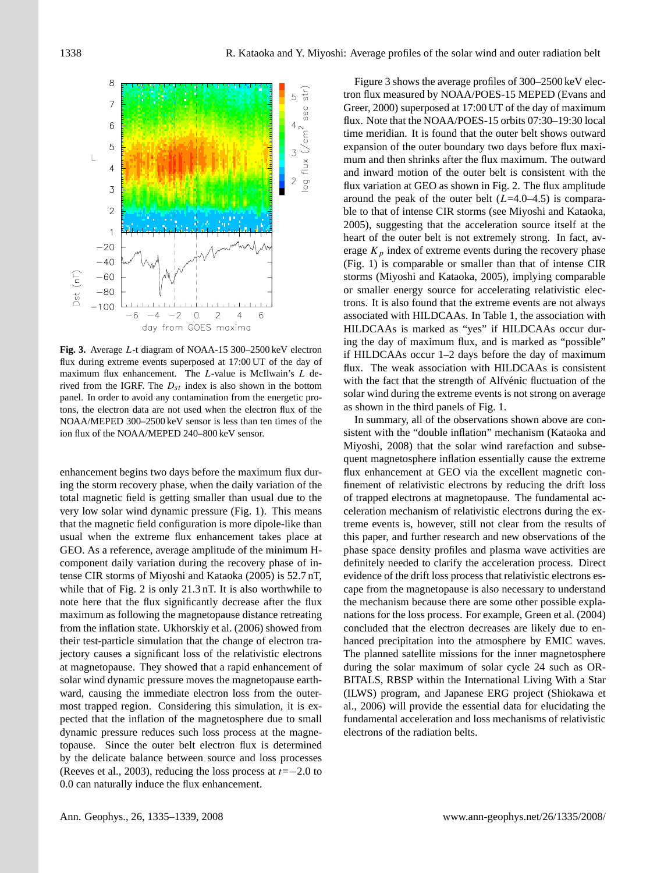

**Fig. 3.** Average L-t diagram of NOAA-15 300–2500 keV electron flux during extreme events superposed at 17:00 UT of the day of maximum flux enhancement. The L-value is McIlwain's L derived from the IGRF. The  $D_{st}$  index is also shown in the bottom panel. In order to avoid any contamination from the energetic protons, the electron data are not used when the electron flux of the NOAA/MEPED 300–2500 keV sensor is less than ten times of the ion flux of the NOAA/MEPED 240–800 keV sensor.

enhancement begins two days before the maximum flux during the storm recovery phase, when the daily variation of the total magnetic field is getting smaller than usual due to the very low solar wind dynamic pressure (Fig. 1). This means that the magnetic field configuration is more dipole-like than usual when the extreme flux enhancement takes place at GEO. As a reference, average amplitude of the minimum Hcomponent daily variation during the recovery phase of intense CIR storms of Miyoshi and Kataoka (2005) is 52.7 nT, while that of Fig. 2 is only 21.3 nT. It is also worthwhile to note here that the flux significantly decrease after the flux maximum as following the magnetopause distance retreating from the inflation state. Ukhorskiy et al. (2006) showed from their test-particle simulation that the change of electron trajectory causes a significant loss of the relativistic electrons at magnetopause. They showed that a rapid enhancement of solar wind dynamic pressure moves the magnetopause earthward, causing the immediate electron loss from the outermost trapped region. Considering this simulation, it is expected that the inflation of the magnetosphere due to small dynamic pressure reduces such loss process at the magnetopause. Since the outer belt electron flux is determined by the delicate balance between source and loss processes (Reeves et al., 2003), reducing the loss process at  $t=-2.0$  to 0.0 can naturally induce the flux enhancement.

Figure 3 shows the average profiles of 300–2500 keV electron flux measured by NOAA/POES-15 MEPED (Evans and Greer, 2000) superposed at 17:00 UT of the day of maximum flux. Note that the NOAA/POES-15 orbits 07:30–19:30 local time meridian. It is found that the outer belt shows outward expansion of the outer boundary two days before flux maximum and then shrinks after the flux maximum. The outward and inward motion of the outer belt is consistent with the flux variation at GEO as shown in Fig. 2. The flux amplitude around the peak of the outer belt  $(L=4.0-4.5)$  is comparable to that of intense CIR storms (see Miyoshi and Kataoka, 2005), suggesting that the acceleration source itself at the heart of the outer belt is not extremely strong. In fact, average  $K_p$  index of extreme events during the recovery phase (Fig. 1) is comparable or smaller than that of intense CIR storms (Miyoshi and Kataoka, 2005), implying comparable or smaller energy source for accelerating relativistic electrons. It is also found that the extreme events are not always associated with HILDCAAs. In Table 1, the association with HILDCAAs is marked as "yes" if HILDCAAs occur during the day of maximum flux, and is marked as "possible" if HILDCAAs occur 1–2 days before the day of maximum flux. The weak association with HILDCAAs is consistent with the fact that the strength of Alfvénic fluctuation of the solar wind during the extreme events is not strong on average as shown in the third panels of Fig. 1.

In summary, all of the observations shown above are consistent with the "double inflation" mechanism (Kataoka and Miyoshi, 2008) that the solar wind rarefaction and subsequent magnetosphere inflation essentially cause the extreme flux enhancement at GEO via the excellent magnetic confinement of relativistic electrons by reducing the drift loss of trapped electrons at magnetopause. The fundamental acceleration mechanism of relativistic electrons during the extreme events is, however, still not clear from the results of this paper, and further research and new observations of the phase space density profiles and plasma wave activities are definitely needed to clarify the acceleration process. Direct evidence of the drift loss process that relativistic electrons escape from the magnetopause is also necessary to understand the mechanism because there are some other possible explanations for the loss process. For example, Green et al. (2004) concluded that the electron decreases are likely due to enhanced precipitation into the atmosphere by EMIC waves. The planned satellite missions for the inner magnetosphere during the solar maximum of solar cycle 24 such as OR-BITALS, RBSP within the International Living With a Star (ILWS) program, and Japanese ERG project (Shiokawa et al., 2006) will provide the essential data for elucidating the fundamental acceleration and loss mechanisms of relativistic electrons of the radiation belts.